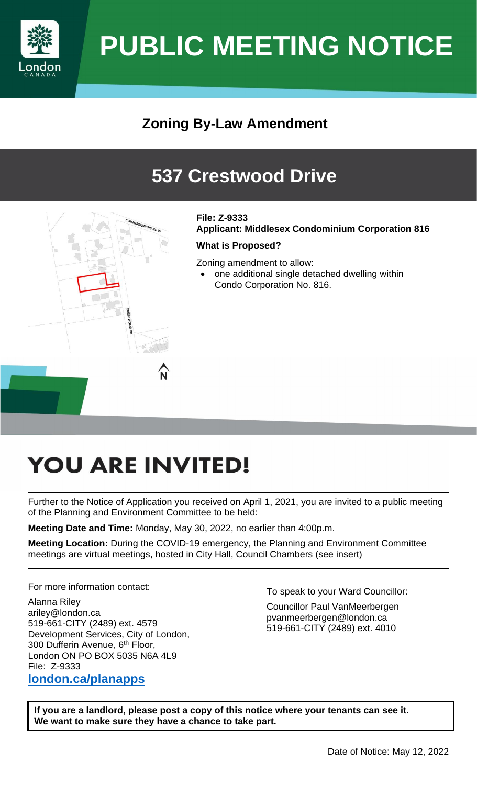

# **PUBLIC MEETING NOTICE**

## **Zoning By-Law Amendment**

## **537 Crestwood Drive**



#### **File: Z-9333**

**Applicant: Middlesex Condominium Corporation 816** 

#### **What is Proposed?**

Zoning amendment to allow:

• one additional single detached dwelling within Condo Corporation No. 816.

## **YOU ARE INVITED!**

Further to the Notice of Application you received on April 1, 2021, you are invited to a public meeting of the Planning and Environment Committee to be held:

**Meeting Date and Time:** Monday, May 30, 2022, no earlier than 4:00p.m.

**Meeting Location:** During the COVID-19 emergency, the Planning and Environment Committee meetings are virtual meetings, hosted in City Hall, Council Chambers (see insert)

For more information contact:

Alanna Riley ariley@london.ca 519-661-CITY (2489) ext. 4579 Development Services, City of London, 300 Dufferin Avenue, 6<sup>th</sup> Floor, London ON PO BOX 5035 N6A 4L9 File: Z-9333 **[london.ca/planapps](http://www.london.ca/business/Planning-Development/land-use-applications/Pages/CurrentApplications.aspx)** 

To speak to your Ward Councillor:

Councillor Paul VanMeerbergen pvanmeerbergen@london.ca 519-661-CITY (2489) ext. 4010

**If you are a landlord, please post a copy of this notice where your tenants can see it. We want to make sure they have a chance to take part.**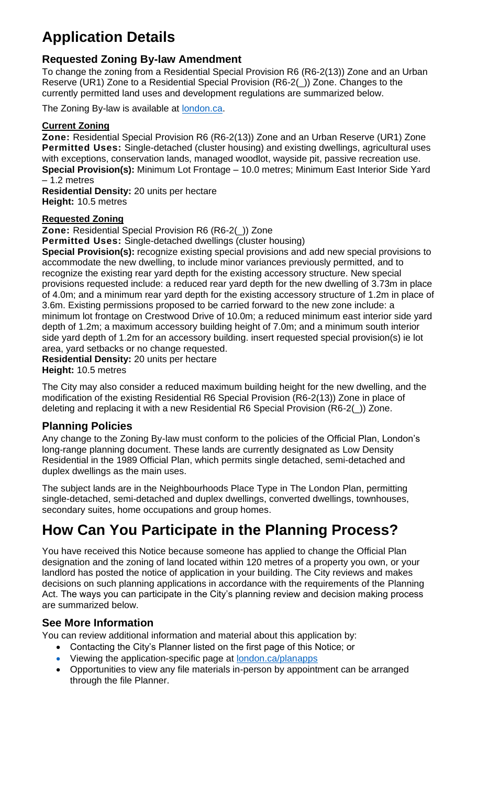## **Application Details**

#### **Requested Zoning By-law Amendment**

To change the zoning from a Residential Special Provision R6 (R6-2(13)) Zone and an Urban Reserve (UR1) Zone to a Residential Special Provision (R6-2(\_)) Zone. Changes to the currently permitted land uses and development regulations are summarized below.

The Zoning By-law is available at **london.ca**.

#### **Current Zoning**

**Zone:** Residential Special Provision R6 (R6-2(13)) Zone and an Urban Reserve (UR1) Zone **Permitted Uses:** Single-detached (cluster housing) and existing dwellings, agricultural uses with exceptions, conservation lands, managed woodlot, wayside pit, passive recreation use. **Special Provision(s):** Minimum Lot Frontage – 10.0 metres; Minimum East Interior Side Yard – 1.2 metres

**Residential Density:** 20 units per hectare **Height:** 10.5 metres

#### **Requested Zoning**

**Zone:** Residential Special Provision R6 (R6-2(\_)) Zone

**Permitted Uses:** Single-detached dwellings (cluster housing)

**Special Provision(s):** recognize existing special provisions and add new special provisions to accommodate the new dwelling, to include minor variances previously permitted, and to recognize the existing rear yard depth for the existing accessory structure. New special provisions requested include: a reduced rear yard depth for the new dwelling of 3.73m in place of 4.0m; and a minimum rear yard depth for the existing accessory structure of 1.2m in place of 3.6m. Existing permissions proposed to be carried forward to the new zone include: a minimum lot frontage on Crestwood Drive of 10.0m; a reduced minimum east interior side yard depth of 1.2m; a maximum accessory building height of 7.0m; and a minimum south interior side yard depth of 1.2m for an accessory building. insert requested special provision(s) ie lot area, yard setbacks or no change requested.

**Residential Density:** 20 units per hectare **Height:** 10.5 metres

The City may also consider a reduced maximum building height for the new dwelling, and the modification of the existing Residential R6 Special Provision (R6-2(13)) Zone in place of deleting and replacing it with a new Residential R6 Special Provision (R6-2(\_)) Zone.

#### **Planning Policies**

Any change to the Zoning By-law must conform to the policies of the Official Plan, London's long-range planning document. These lands are currently designated as Low Density Residential in the 1989 Official Plan, which permits single detached, semi-detached and duplex dwellings as the main uses.

The subject lands are in the Neighbourhoods Place Type in The London Plan, permitting single-detached, semi-detached and duplex dwellings, converted dwellings, townhouses, secondary suites, home occupations and group homes.

## **How Can You Participate in the Planning Process?**

You have received this Notice because someone has applied to change the Official Plan designation and the zoning of land located within 120 metres of a property you own, or your landlord has posted the notice of application in your building. The City reviews and makes decisions on such planning applications in accordance with the requirements of the Planning Act. The ways you can participate in the City's planning review and decision making process are summarized below.

#### **See More Information**

You can review additional information and material about this application by:

- Contacting the City's Planner listed on the first page of this Notice; or
- Viewing the application-specific page at **london.ca/planapps**
- Opportunities to view any file materials in-person by appointment can be arranged through the file Planner.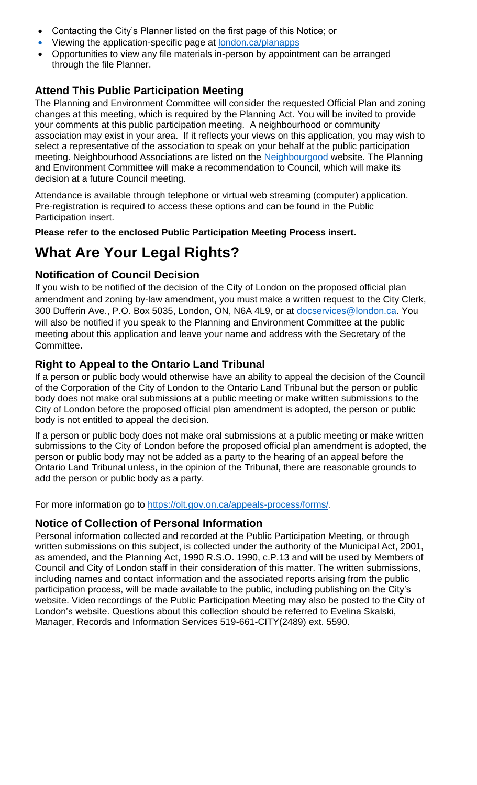- Contacting the City's Planner listed on the first page of this Notice; or
- Viewing the application-specific page at london.ca/planapps
- Opportunities to view any file materials in-person by appointment can be arranged through the file Planner.

#### **Attend This Public Participation Meeting**

The Planning and Environment Committee will consider the requested Official Plan and zoning changes at this meeting, which is required by the Planning Act*.* You will be invited to provide your comments at this public participation meeting. A neighbourhood or community association may exist in your area. If it reflects your views on this application, you may wish to select a representative of the association to spe[ak on your behalf at th](https://london.ca/planapps)e public participation meeting. Neighbourhood Associations are listed on the [Neighbourgood](https://www.neighbourgoodlondon.ca/) website. The Planning and Environment Committee will make a recommendation to Council, which will make its decision at a future Council meeting.

Attendance is available through telephone or virtual web streaming (computer) application. Pre-registration is required to access these options and can be found in the Public Participation insert.

**Please refer to the enclosed Public Participation Meeting Process insert.** 

## **What Are Your Legal Rights?**

#### **Notification of Council Decision**

If you wish to be notified of the decision of the City of London on the proposed official plan amendment and zoning by-law amendment, you must make a written request to the City Clerk, 300 Dufferin Ave., P.O. Box 5035, London, ON, N6A 4L9, or at [docservices@london.ca.](mailto:docservices@london.ca) You will also be notified if you speak to the Planning and Environment Committee at the public meeting about this application and leave your name and address with the Secretary of the Committee.

#### **Right to Appeal to the Ontario Land Tribunal**

If a person or public body would otherwise have an ability to appeal the decision of the Council of the Corporation of the City of London to the Ontario Land Tribunal but the person or public body does not make oral submissions at a public meeting or make written submissions to the City of London before the proposed official plan amendment is adopted, the person or public body is not entitled to appeal the decision.

If a person or public body does not make oral submissions at a public meeting or make written submissions to the City of London before the proposed official plan amendment is adopted, the person or public body may not be added as a party to the hearing of an appeal before the Ontario Land Tribunal unless, in the opinion of the Tribunal, there are reasonable grounds to add the person or public body as a party.

For more information go to https://olt.gov.on.ca/appeals-process/forms/.

#### **Notice of Collection of Personal Information**

Personal information collected and recorded at the Public Participation Meeting, or through written submissions on this subject, is collected under the authority of the Municipal Act, 2001, as amended, and the Planning Act, 1990 R.S.O. 1990, c.P.13 and will be used by Members of Council and City of London staff in their consideration of this matter. The written submissions, including names and contact information and the associated reports arising from the public participation process, will be made available to the public, including publishing on the City's website. Video recordings of the Public Participation Meeting may also be posted to the City of London's website. Question[s about this collection should be referred to Ev](https://olt.gov.on.ca/appeals-process/forms/)elina Skalski, Manager, Records and Information Services 519-661-CITY(2489) ext. 5590.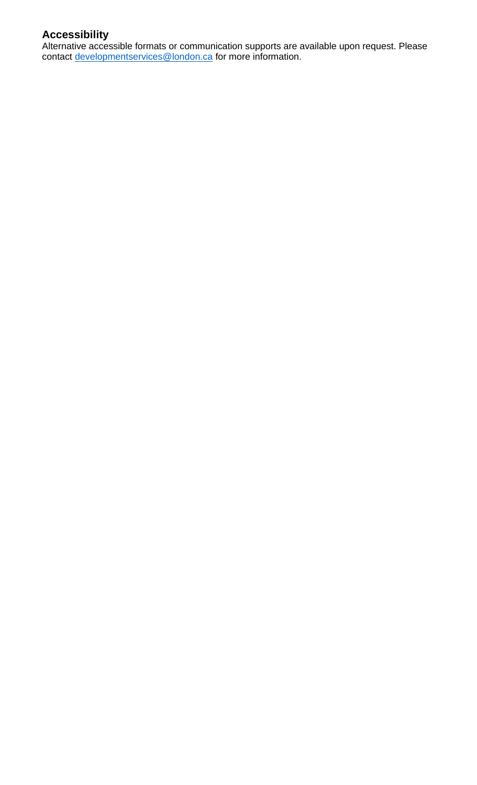#### **Accessibility**

Alternative accessible formats or communication supports are available upon request. Please contact [developmentservices@london.ca](mailto:developmentservices@london.ca) for more information.